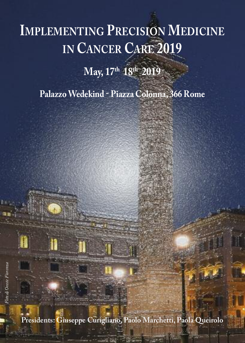# **IMPLEMENTING PRECISION MEDICINE IN CANCER CARE 2019**

**May, 17th 18th 2019**

**PalazzoWedekind - Piazza Colonna, 366 Rome**

**Presidents: Giuseppe Curigliano, Paolo Marchetti, Paola Queirolo**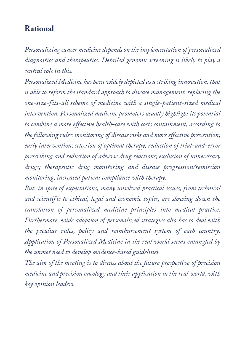### **Rational**

*Personalizing cancer medicine dependson the implementation of personalized diagnostics and therapeutics. Detailed genomic screening is likely to play a central role in this.*

*Personalized Medicine has been widely depicted as a striking innovation, that is able to reform the standard approach to disease management, replacing the one-size-fits-all scheme of medicine with a single-patient-sized medical intervention. Personalized medicine promoters usually highlight its potential to combine a more effective health-care with costs containment, according to the following rules: monitoring of disease risks and more effective prevention; early intervention; selection of optimal therapy; reduction of trial-and-error prescribing and reduction of adverse drug reactions; exclusion of unnecessary drugs; therapeutic drug monitoring and disease progression/remission monitoring; increased patient compliance with therapy.*

*But, in spite of expectations, many unsolved practical issues, from technical and scientific to ethical, legal and economic topics, are slowing down the translation of personalized medicine principles into medical practice. Furthermore, wide adoption of personalized strategies also has to deal with the peculiar rules, policy and reimbursement system of each country. Application of Personalized Medicine in the real world seems entangled by the unmet need to develop evidence-based guidelines.*

*The aim of the meeting is to discuss about the future prospective of precision medicine and precision oncology and their application in the real world, with key opinion leaders.*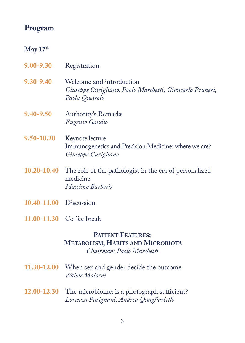## **Program**

#### **May 17th**

|  | 9.00-9.30 |  |  | Registration |
|--|-----------|--|--|--------------|
|--|-----------|--|--|--------------|

- **9.30-9.40** Welcome and introduction *Giuseppe Curigliano, Paolo Marchetti, Giancarlo Pruneri, Paola Queirolo*
- **9.40-9.50** Authority's Remarks *Eugenio Gaudio*
- **9.50-10.20** Keynote lecture Immunogenetics and Precision Medicine: where we are?  *Giuseppe Curigliano*
- **10.20-10.40** The role of the pathologist in the era of personalized medicine *Massimo Barberis*
- **10.40-11.00** Discussion
- **11.00-11.30** Coffee break

#### **PATIENT FEATURES: METABOLISM, HABITS AND MICROBIOTA** *Chairman: Paolo Marchetti*

- **11.30-12.00** When sex and gender decide the outcome *Walter Malorni*
- **12.00-12.30** The microbiome: is a photograph sufficient? *Lorenza Putignani, Andrea Quagliariello*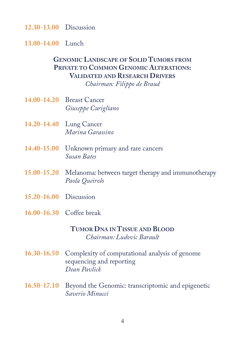**12.30-13.00** Discussion

**13.00-14.00** Lunch

#### **GENOMIC LANDSCAPE OF SOLID TUMORS FROM PRIVATE TO COMMON GENOMIC ALTERATIONS: VALIDATED AND RESEARCH DRIVERS** *Chairman: Filippo de Braud*

- **14.00-14.20** Breast Cancer *Giuseppe Curigliano*
- **14.20-14.40** Lung Cancer *Marina Garassino*
- **14.40-15.00** Unknown primary and rare cancers *Susan Bates*
- **15.00-15.20** Melanoma: between target therapy and immunotherapy *Paola Queirolo*
- **15.20-16.00** Discussion
- **16.00-16.30** Coffee break

#### **TUMOR DNA IN TISSUE AND BLOOD** *Chairman: Ludovic Barault*

- **16.30-16.50** Complexity of computational analysis of genome sequencing and reporting *Dean Pavlick*
- **16.50-17.10** Beyond the Genomic: transcriptomic and epigenetic *Saverio Minucci*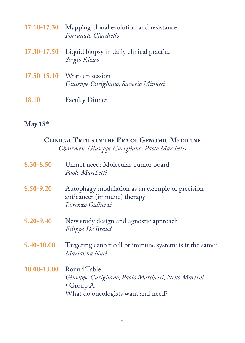|              | 17.10-17.30 Mapping clonal evolution and resistance<br>Fortunato Ciardiello |
|--------------|-----------------------------------------------------------------------------|
|              | 17.30-17.50 Liquid biopsy in daily clinical practice<br>Sergio Rizzo        |
|              | $17.50 - 18.10$ Wrap up session<br>Giuseppe Curigliano, Saverio Minucci     |
| <b>18.10</b> | <b>Faculty Dinner</b>                                                       |

# **May 18th**

| <b>CLINICAL TRIALS IN THE ERA OF GENOMIC MEDICINE</b><br>Chairmen: Giuseppe Curigliano, Paolo Marchetti                                |
|----------------------------------------------------------------------------------------------------------------------------------------|
| Unmet need: Molecular Tumor board<br>Paolo Marchetti                                                                                   |
| Autophagy modulation as an example of precision<br>anticancer (immune) therapy<br>Lorenzo Galluzzi                                     |
| New study design and agnostic approach<br>Filippo De Braud                                                                             |
| Targeting cancer cell or immune system: is it the same?<br>Marianna Nuti                                                               |
| 10.00-13.00<br>Round Table<br>Giuseppe Curigliano, Paolo Marchetti, Nello Martini<br>• Group $A$<br>What do oncologists want and need? |
|                                                                                                                                        |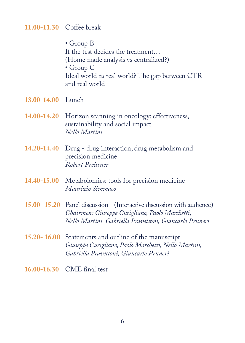#### **11.00-11.30** Coffee break

 • Group B If the test decides the treatment… (Home made analysis vs centralized?) • Group C Ideal world *vs* real world? The gap between CTR and real world

- **13.00-14.00** Lunch
- **14.00-14.20** Horizon scanning in oncology: effectiveness, sustainability and social impact  *Nello Martini*
- **14.20-14.40** Drug drug interaction, drug metabolism and precision medicine  *Robert Preissner*
- **14.40-15.00** Metabolomics: tools for precision medicine  *Maurizio Simmaco*
- **15.00 -15.20** Panel discussion (Interactive discussion with audience)  *Chairmen: Giuseppe Curigliano, Paolo Marchetti, Nello Martini, Gabriella Pravettoni, Giancarlo Pruneri*
- **15.20- 16.00** Statements and outline of the manuscript  *Giuseppe Curigliano, Paolo Marchetti, Nello Martini, Gabriella Pravettoni, Giancarlo Pruneri*
- **16.00-16.30** CME final test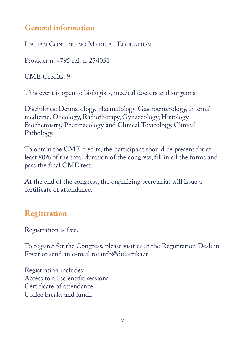# **General information**

ITALIAN CoNTINUING MEDICAL EDUCATIoN

Provider n. 4795 ref. n. 254031

CME Credits: 9

This event is open to biologists, medical doctors and surgeons

Disciplines: Dermatology, Haematology, Gastroenterology,Internal medicine, Oncology, Radiotherapy, Gynaecology, Histology, Biochemistry, Pharmacology and Clinical Toxicology, Clinical Pathology.

To obtain the CME credits, the participant should be present for at least 80% of the total duration of the congress, fill in all the forms and pass the final CME test.

At the end of the congress, the organizing secretariat will issue a certificate of attendance.

# **Registration**

Registration is free.

To register for the Congress, please visit us at the Registration Desk in Foyer or send an e-mail to: info@didactika.it.

Registration includes: Access to all scientific sessions Certificate of attendance Coffee breaks and lunch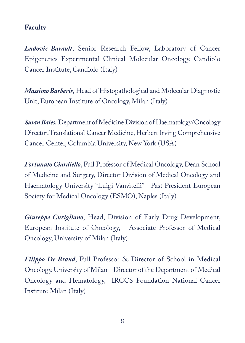#### **Faculty**

*Ludovic Barault*, Senior Research Fellow, Laboratory of Cancer Epigenetics Experimental Clinical Molecular Oncology, Candiolo Cancer Institute, Candiolo (Italy)

*Massimo Barberis*, Head of Histopathological and Molecular Diagnostic Unit, European Institute of Oncology, Milan (Italy)

**Susan Bates**, Department of Medicine Division of Haematology/Oncology Director, Translational Cancer Medicine, Herbert Irving Comprehensive Cancer Center, Columbia University, New York (USA)

*Fortunato Ciardiello*, Full Professor of Medical Oncology, Dean School of Medicine and Surgery, Director Division of Medical Oncology and Haematology University "Luigi Vanvitelli" - Past President European Society for Medical Oncology (ESMO), Naples (Italy)

*Giuseppe Curigliano*, Head, Division of Early Drug Development, European Institute of Oncology, - Associate Professor of Medical Oncology, University of Milan (Italy)

*Filippo De Braud*, Full Professor & Director of School in Medical Oncology, University of Milan - Director of the Department of Medical Oncology and Hematology, IRCCS Foundation National Cancer Institute Milan (Italy)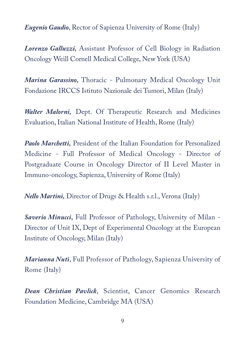*Eugenio Gaudio*, Rector of Sapienza University of Rome (Italy)

*Lorenzo Galluzzi,* Assistant Professor of Cell Biology in Radiation oncology Weill Cornell Medical College, New York (USA)

*Marina Garassino*, Thoracic - Pulmonary Medical Oncology Unit Fondazione IRCCS Istituto Nazionale dei Tumori, Milan (Italy)

*Walter Malorni,* Dept. of Therapeutic Research and Medicines Evaluation, Italian National Institute of Health, Rome (Italy)

*Paolo Marchetti,* President of the Italian Foundation for Personalized Medicine - Full Professor of Medical Oncology - Director of Postgraduate Course in Oncology Director of II Level Master in Immuno-oncology, Sapienza, University of Rome (Italy)

*Nello Martini,* Director of Drugs & Health s.r.l., Verona (Italy)

*Saverio Minucci,* Full Professor of Pathology, University of Milan - Director of Unit IX, Dept of Experimental Oncology at the European Institute of Oncology, Milan (Italy)

*Marianna Nuti*, Full Professor of Pathology, Sapienza University of Rome (Italy)

*Dean Christian Pavlick*, Scientist, Cancer Genomics Research Foundation Medicine, Cambridge MA (USA)

9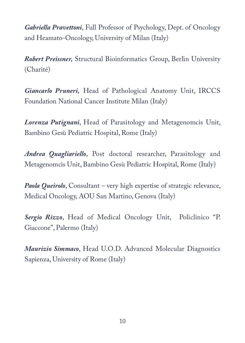*Gabriella Pravettoni*, Full Professor of Psychology, Dept. of Oncology and Heamato-Oncology, University of Milan (Italy)

*Robert Preissner,* Structural Bioinformatics Group, Berlin University (Charité)

*Giancarlo Pruneri,* Head of Pathological Anatomy Unit, IRCCS Foundation National Cancer Institute Milan (Italy)

*Lorenza Putignani*, Head of Parasitology and Metagenomcis Unit, Bambino Gesù Pediatric Hospital, Rome (Italy)

*Andrea Quagliariello*, Post doctoral researcher, Parasitology and Metagenomcis Unit, Bambino Gesù Pediatric Hospital, Rome (Italy)

*Paola Queirolo*, Consultant – very high expertise of strategic relevance, Medical Oncology, AOU San Martino, Genova (Italy)

Sergio Rizzo, Head of Medical Oncology Unit, Policlinico "P. Giaccone", Palermo (Italy)

*Maurizio Simmaco*, Head U.O.D. Advanced Molecular Diagnostics Sapienza, University of Rome (Italy)